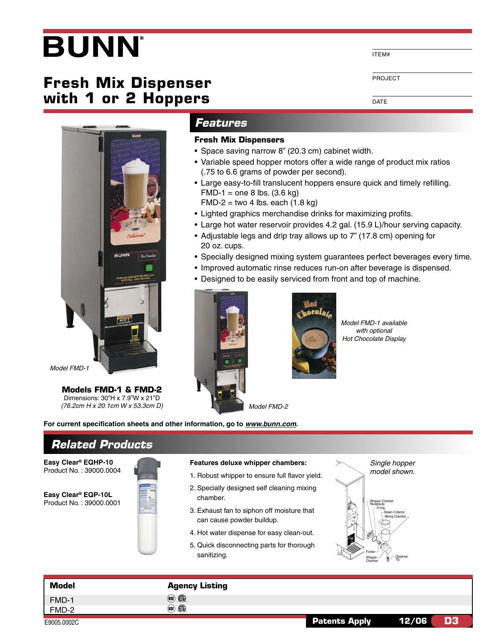# **BUNN**

# **Fresh Mix Dispenser with 1 or 2 Hoppers**



Model FMD-1

**Models FMD-1 & FMD-2** Dimensions: 30"H x 7.9"W x 21"D

**Related Products**

## **Features**

### **Fresh Mix Dispensers**

- Space saving narrow 8" (20.3 cm) cabinet width.
- Variable speed hopper motors offer a wide range of product mix ratios (.75 to 6.6 grams of powder per second).
- Large easy-to-fill translucent hoppers ensure quick and timely refilling.  $FMD-1 = one 8$  lbs.  $(3.6 \text{ kg})$  $FMD-2 = two 4 lbs. each (1.8 kg)$
- Lighted graphics merchandise drinks for maximizing profits.
- Large hot water reservoir provides 4.2 gal. (15.9 L)/hour serving capacity.
- Adjustable legs and drip tray allows up to 7" (17.8 cm) opening for 20 oz. cups.
- Specially designed mixing system guarantees perfect beverages every time.
- Improved automatic rinse reduces run-on after beverage is dispensed.
- Designed to be easily serviced from front and top of machine.





Model FMD-1 available with optional Hot Chocolate Display

ITEM#

DATE

PROJECT

**Easy Clear® EQHP-10** Product No. : 39000.0004

**Easy Clear® EQP-10L** Product No. : 39000.0001

(76.2cm H x 20.1cm W x 53.3cm D)

**For current specification sheets and other information, go to www.bunn.com.**

- 1. Robust whipper to ensure full flavor yield.
- **Features deluxe whipper chambers:**<br>
1. Robust whipper to ensure full flavor yield.<br>
2. Specially designed self cleaning mixing<br>
chamber.<br>
3. Exhaust fan to siphon off moisture that<br>
can cause powder buildup.<br>
4. Hot water 2. Specially designed self cleaning mixing chamber.
- 3. Exhaust fan to siphon off moisture that can cause powder buildup.
- 4. Hot water dispense for easy clean-out.
- 5. Quick disconnecting parts for thorough sanitizing.



| <b>Model</b> | <b>Agency Listing</b> |                      |             |  |
|--------------|-----------------------|----------------------|-------------|--|
| FMD-1        | (NSE) (FD)            |                      |             |  |
| FMD-2        | (NSE) (FD)            |                      |             |  |
| E9005.0002C  |                       | <b>Patents Apply</b> | D3<br>12/06 |  |

E9005.0002C